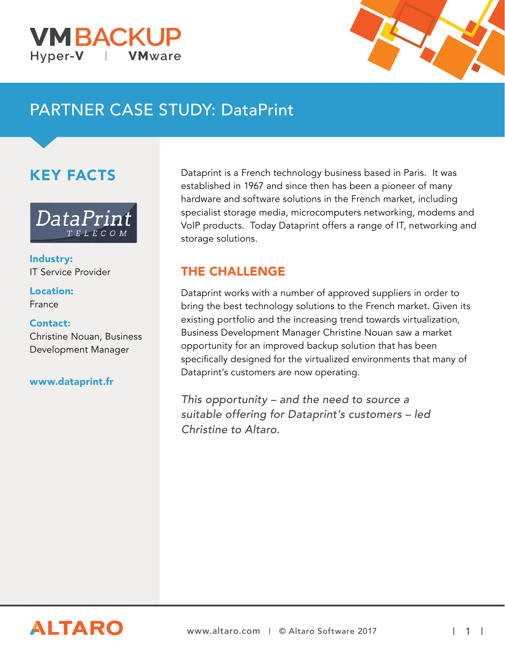



# PARTNER CASE STUDY: DataPrint

## KEY FACTS



Industry: IT Service Provider

Location: France

#### Contact:

Christine Nouan, Business Development Manager

#### [www.dataprint.fr](http://www.dataprint.fr/)

Dataprint is a French technology business based in Paris. It was established in 1967 and since then has been a pioneer of many hardware and software solutions in the French market, including specialist storage media, microcomputers networking, modems and VoIP products. Today Dataprint offers a range of IT, networking and storage solutions.

### THE CHALLENGE

Dataprint works with a number of approved suppliers in order to bring the best technology solutions to the French market. Given its existing portfolio and the increasing trend towards virtualization, Business Development Manager Christine Nouan saw a market opportunity for an improved backup solution that has been specifically designed for the virtualized environments that many of Dataprint's customers are now operating.

This opportunity – and the need to source a suitable offering for Dataprint's customers – led Christine to Altaro.